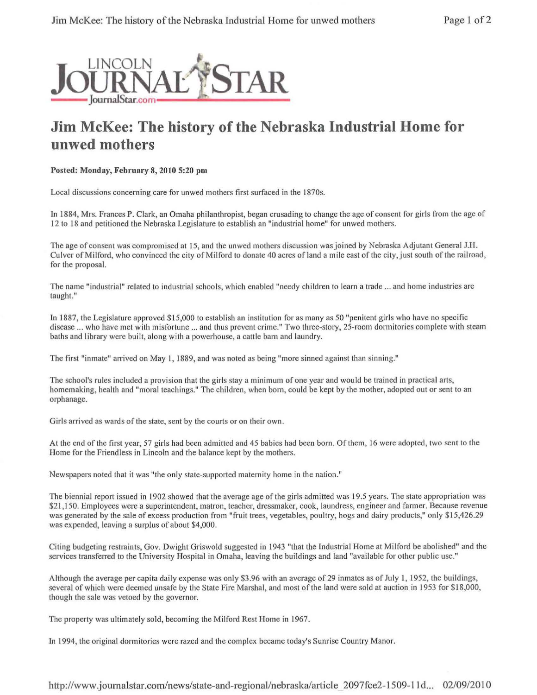

## **Jim McKee: The history of the Nebraska Industrial Home for unwed mothers**

Posted: Monday, February 8, 2010 5:20 pm

Local discussions concerning care for unwed mothers first surfaced in the 1870s.

In 1884, Mrs. Frances P. Clark, an Omaha philanthropist, began crusading to change the age of consent for girls from the age of 12 to 18 and petitioned the Nebraska Legislature to establish an "industrial home" for unwed mothers.

The age of consent was compromised at 15, and the unwed mothers discussion was joined by Nebraska Adjutant General J.H. Culver of Milford, who convinced the city of Milford to donate 40 acres of land a mile east of the city, just south of the railroad, for the proposal.

The name "industrial" related to industrial schools, which enabled "needy children to learn a trade ... and home industries are taught."

In 1887, the Legislature approved \$15,000 to establish an institution for as many as 50 "penitent girls who have no specific disease ... who have met with misfortune ... and thus prevent crime." Two three-story, 25-room dormitories complete with steam baths and library were built, along with a powerhouse, a cattle barn and laundry.

The first "inmate" arrived on May 1, 1889, and was noted as being "more sinned against than sinning."

The school's rules included a provision that the girls stay a minimum of one year and would be trained in practical arts, homemaking, health and "moral teachings." The children, when born, could be kept by the mother, adopted out or sent to an orphanage.

Girls arrived as wards of the state, sent by the courts or on their own.

At the end of the first year, 57 girls had been admitted and 45 babies had been born. Of them, 16 were adopted, two sent to the Home for the Friendless in Lincoln and the balance kept by the mothers.

Newspapers noted that it was "the only state-supported maternity home in the nation."

The biennial report issued in 1902 showed that the average age of the girls admitted was 19.5 years. The state appropriation was \$21, 150. Employees were a superintendent, matron, teacher, dressmaker, cook, laundress, engineer and farmer. Because revenue was generated by the sale of excess production from "fruit trees, vegetables, poultry, hogs and dairy products," only \$15,426.29 was expended, leaving a surplus of about \$4,000.

Citing budgeting restraints, Gov. Dwight Griswold suggested in 1943 "that the Industrial Home at Milford be abolished" and the services transferred to the University Hospital in Omaha, leaving the buildings and land "available for other public use."

Although the average per capita daily expense was only \$3.96 with an average of 29 inmates as of July I, 1952, the buildings, several of which were deemed unsafe by the State Fire Marshal, and most of the land were sold at auction in 1953 for \$18,000, though the sale was vetoed by the governor.

The property was ultimately sold, becoming the Milford Rest Home in 1967.

In I 994, the original dormitories were razed and the complex became today's Sunrise Country Manor.